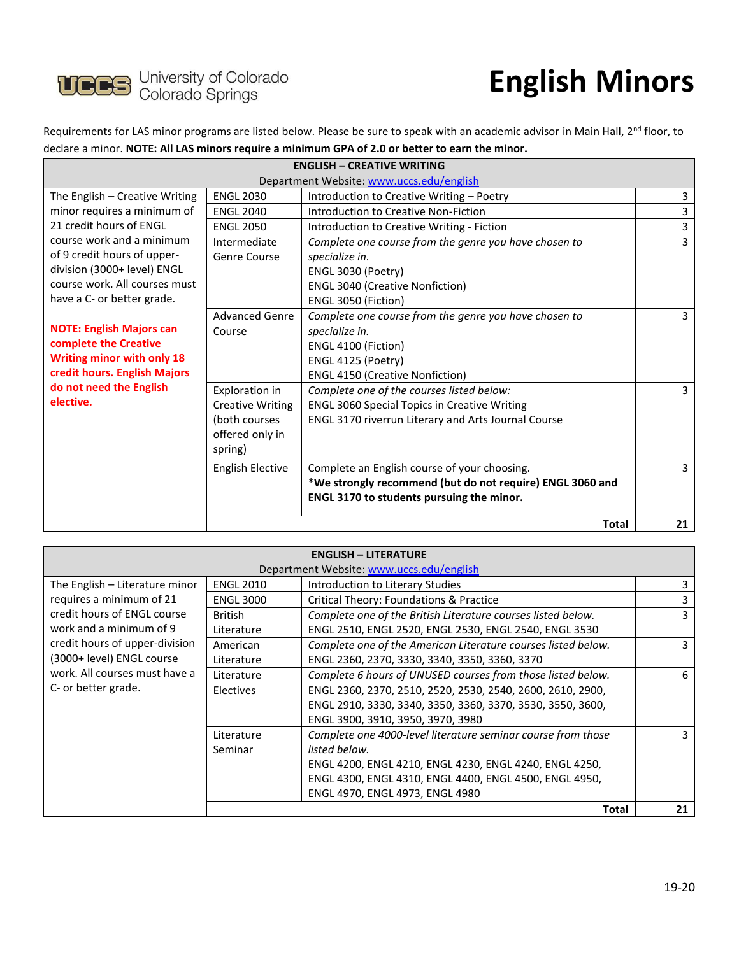

## **English Minors**

Requirements for LAS minor programs are listed below. Please be sure to speak with an academic advisor in Main Hall, 2<sup>nd</sup> floor, to declare a minor. **NOTE: All LAS minors require a minimum GPA of 2.0 or better to earn the minor.**

| <b>ENGLISH - CREATIVE WRITING</b>                      |                         |                                                           |                |
|--------------------------------------------------------|-------------------------|-----------------------------------------------------------|----------------|
| Department Website: www.uccs.edu/english               |                         |                                                           |                |
| The English – Creative Writing                         | <b>ENGL 2030</b>        | Introduction to Creative Writing - Poetry                 | 3              |
| minor requires a minimum of<br>21 credit hours of ENGL | <b>ENGL 2040</b>        | Introduction to Creative Non-Fiction                      | 3              |
|                                                        | <b>ENGL 2050</b>        | Introduction to Creative Writing - Fiction                | 3              |
| course work and a minimum                              | Intermediate            | Complete one course from the genre you have chosen to     | 3              |
| of 9 credit hours of upper-                            | Genre Course            | specialize in.                                            |                |
| division (3000+ level) ENGL                            |                         | ENGL 3030 (Poetry)                                        |                |
| course work. All courses must                          |                         | <b>ENGL 3040 (Creative Nonfiction)</b>                    |                |
| have a C- or better grade.                             |                         | ENGL 3050 (Fiction)                                       |                |
|                                                        | <b>Advanced Genre</b>   | Complete one course from the genre you have chosen to     | $\overline{3}$ |
| <b>NOTE: English Majors can</b>                        | Course                  | specialize in.                                            |                |
| complete the Creative                                  |                         | ENGL 4100 (Fiction)                                       |                |
| <b>Writing minor with only 18</b>                      |                         | ENGL 4125 (Poetry)                                        |                |
| credit hours. English Majors                           |                         | <b>ENGL 4150 (Creative Nonfiction)</b>                    |                |
| do not need the English                                | Exploration in          | Complete one of the courses listed below:                 | 3              |
| elective.                                              | <b>Creative Writing</b> | <b>ENGL 3060 Special Topics in Creative Writing</b>       |                |
|                                                        | (both courses           | ENGL 3170 riverrun Literary and Arts Journal Course       |                |
|                                                        | offered only in         |                                                           |                |
|                                                        | spring)                 |                                                           |                |
|                                                        | <b>English Elective</b> | Complete an English course of your choosing.              | $\overline{3}$ |
|                                                        |                         | *We strongly recommend (but do not require) ENGL 3060 and |                |
|                                                        |                         | ENGL 3170 to students pursuing the minor.                 |                |
|                                                        |                         |                                                           |                |
|                                                        |                         | <b>Total</b>                                              | 21             |

| <b>ENGLISH - LITERATURE</b>                                |                  |                                                               |    |
|------------------------------------------------------------|------------------|---------------------------------------------------------------|----|
| Department Website: www.uccs.edu/english                   |                  |                                                               |    |
| The English - Literature minor<br>requires a minimum of 21 | <b>ENGL 2010</b> | Introduction to Literary Studies                              | 3. |
|                                                            | <b>ENGL 3000</b> | Critical Theory: Foundations & Practice                       | 3. |
| credit hours of ENGL course                                | British          | Complete one of the British Literature courses listed below.  | 3. |
| work and a minimum of 9                                    | Literature       | ENGL 2510, ENGL 2520, ENGL 2530, ENGL 2540, ENGL 3530         |    |
| credit hours of upper-division                             | American         | Complete one of the American Literature courses listed below. | 3  |
| (3000+ level) ENGL course<br>work. All courses must have a | Literature       | ENGL 2360, 2370, 3330, 3340, 3350, 3360, 3370                 |    |
|                                                            | Literature       | Complete 6 hours of UNUSED courses from those listed below.   | 6  |
| C- or better grade.                                        | <b>Electives</b> | ENGL 2360, 2370, 2510, 2520, 2530, 2540, 2600, 2610, 2900,    |    |
|                                                            |                  | ENGL 2910, 3330, 3340, 3350, 3360, 3370, 3530, 3550, 3600,    |    |
|                                                            |                  | ENGL 3900, 3910, 3950, 3970, 3980                             |    |
|                                                            | Literature       | Complete one 4000-level literature seminar course from those  | 3  |
|                                                            | Seminar          | listed below.                                                 |    |
|                                                            |                  | ENGL 4200, ENGL 4210, ENGL 4230, ENGL 4240, ENGL 4250,        |    |
|                                                            |                  | ENGL 4300, ENGL 4310, ENGL 4400, ENGL 4500, ENGL 4950,        |    |
|                                                            |                  | ENGL 4970, ENGL 4973, ENGL 4980                               |    |
|                                                            |                  | Total                                                         | 21 |